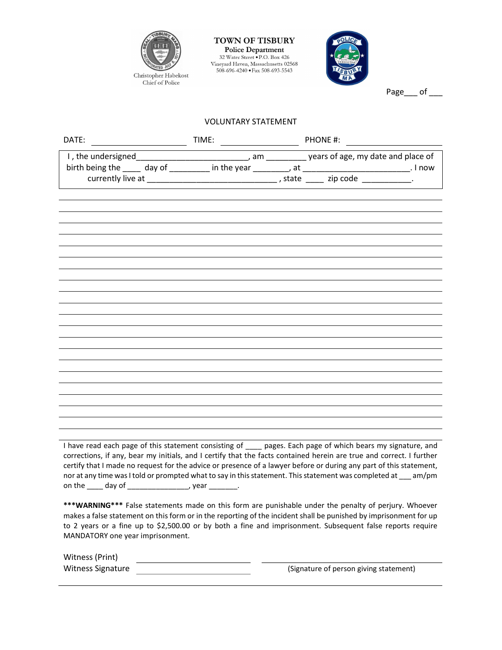

**TOWN OF TISBURY Police Department** 32 Water Street . P.O. Box 426 Vineyard Haven, Massachusetts 02568 508-696-4240 · Fax 508-693-5543



Page of

## VOLUNTARY STATEMENT

| DATE: ________________________ |  |                                                                                                              |
|--------------------------------|--|--------------------------------------------------------------------------------------------------------------|
|                                |  |                                                                                                              |
|                                |  |                                                                                                              |
|                                |  |                                                                                                              |
|                                |  |                                                                                                              |
|                                |  |                                                                                                              |
|                                |  |                                                                                                              |
|                                |  |                                                                                                              |
|                                |  |                                                                                                              |
|                                |  |                                                                                                              |
|                                |  |                                                                                                              |
|                                |  |                                                                                                              |
|                                |  |                                                                                                              |
|                                |  |                                                                                                              |
|                                |  |                                                                                                              |
|                                |  |                                                                                                              |
|                                |  |                                                                                                              |
|                                |  |                                                                                                              |
|                                |  |                                                                                                              |
|                                |  |                                                                                                              |
|                                |  |                                                                                                              |
|                                |  |                                                                                                              |
|                                |  |                                                                                                              |
|                                |  |                                                                                                              |
|                                |  |                                                                                                              |
|                                |  |                                                                                                              |
|                                |  | I have read each page of this statement consisting of ____ pages. Each page of which bears my signature, and |

corrections, if any, bear my initials, and I certify that the facts contained herein are true and correct. I further certify that I made no request for the advice or presence of a lawyer before or during any part of this statement, nor at any time was I told or prompted what to say in this statement. This statement was completed at \_\_\_ am/pm on the \_\_\_\_ day of \_\_\_\_\_\_\_\_\_\_\_\_\_\_\_\_, year \_\_\_\_\_\_\_.

\*\*\*WARNING\*\*\* False statements made on this form are punishable under the penalty of perjury. Whoever makes a false statement on this form or in the reporting of the incident shall be punished by imprisonment for up to 2 years or a fine up to \$2,500.00 or by both a fine and imprisonment. Subsequent false reports require MANDATORY one year imprisonment.

| Witness (Print)          |                                        |
|--------------------------|----------------------------------------|
| <b>Witness Signature</b> | (Signature of person giving statement) |